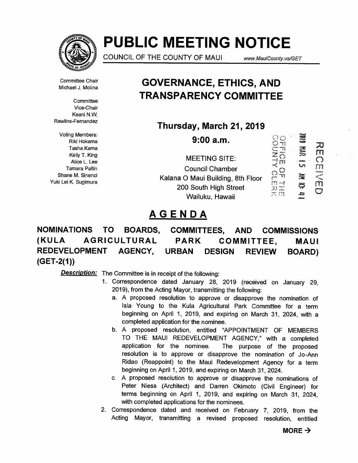

# **PUBLIC MEETING NOTICE**

**COUNCIL OF THE COUNTY OF MAUI www.MauiCounty.us/GET** 

Committee Chair Michael J. Molina

**Committee** Vice-Chair Keani **N.W.**  Rawlins-Fernandez

Voting Members: Riki Hokama Tasha Kama Kelly T. King Alice L. Lee Tamara Paltin Shane M. Sinenci Yuki Lei K. Sugimura

# **GOVERNANCE, ETHICS, AND TRANSPARENCY COMMITTEE**

**Thursday, March 21, 2019** 

**9:00 a.m.** 

**MEETING SITE: Council Chamber Kalana 0 Maui Building, 8th Floor 200 South High Street Wailuku, Hawaii** 



# **AGENDA**

**NOMINATIONS TO BOARDS, COMMITTEES, AND COMMISSIONS (KULA AGRICULTURAL PARK COMMITTEE, MAUI REDEVELOPMENT AGENCY, URBAN DESIGN REVIEW BOARD) (GET-2(1))** 

- 1. Correspondence dated January 28, 2019 (received on January 29, 2019), from the Acting Mayor, transmitting the following:
	- a. A proposed resolution to approve or disapprove the nomination of Isla Young to the Kula Agricultural Park Committee for a term beginning on April 1, 2019, and expiring on March 31, 2024, with a completed application for the nominee.
	- b. A proposed resolution, entitled "APPOINTMENT OF MEMBERS TO THE MAUI REDEVELOPMENT AGENCY," with a completed application for the nominee. The purpose of the proposed resolution is to approve or disapprove the nomination of Jo-Ann Ridao (Reappoint) to the Maui Redevelopment Agency for a term beginning on April 1, 2019, and expiring on March 31, 2024.
	- c. A proposed resolution to approve or disapprove the nominations of Peter Niess (Architect) and Darren Okimoto (Civil Engineer) for terms beginning on April 1, 2019, and expiring on March 31, 2024, with completed applications for the nominees.
- 2. Correspondence dated and received on February 7, 2019, from the Acting Mayor, transmitting a revised proposed resolution, entitled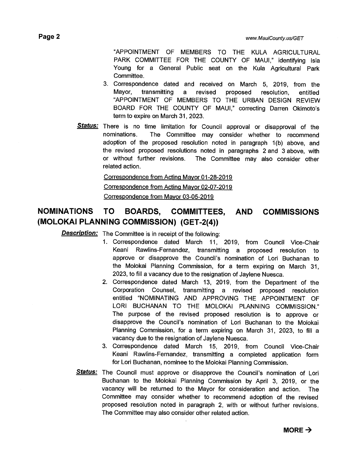"APPOINTMENT OF MEMBERS TO THE KULA AGRICULTURAL PARK COMMITTEE FOR THE COUNTY OF MAUI," identifying Isla Young for a General Public seat on the Kula Agricultural Park Committee.

- 3. Correspondence dated and received on March 5, 2019, from the Mayor, transmitting a revised proposed resolution, entitled "APPOINTMENT OF MEMBERS TO THE URBAN DESIGN REVIEW BOARD FOR THE COUNTY OF MAUI," correcting Darren Okimoto's term to expire on March 31, 2023.
- Status: There is no time limitation for Council approval or disapproval of the nominations. The Committee may consider whether to recommend adoption of the proposed resolution noted in paragraph 1(b) above, and the revised proposed resolutions noted in paragraphs 2 and 3 above, with or without further revisions. The Committee may also consider other related action.

#### Correspondence from Acting Mayor 01-28-2019

Correspondence from Acting Mayor 02-07-2019

Correspondence from Mayor 03-05-2019

### **NOMINATIONS TO BOARDS, COMMITTEES, AND COMMISSIONS (MOLOKAI PLANNING COMMISSION) (GET-2(4))**

- 1. Correspondence dated March 11, 2019, from Council Vice-Chair Keani Rawlins-Fernandez, transmitting a proposed resolution to approve or disapprove the Council's nomination of Lori Buchanan to the Molokai Planning Commission, for a term expiring on March 31, 2023, to fill a vacancy due to the resignation of Jaylene Nuesca.
- 2. Correspondence dated March 13, 2019, from the Department of the Corporation Counsel, transmitting a revised proposed resolution entitled "NOMINATING AND APPROVING THE APPOINTMENT OF LORI BUCHANAN TO THE MOLOKAI PLANNING COMMISSION." The purpose of the revised proposed resolution is to approve or disapprove the Council's nomination of Lori Buchanan to the Molokai Planning Commission, for a term expiring on March 31, 2023, to fill a vacancy due to the resignation of Jaylene Nuesca.
- 3. Correspondence dated March 15, 2019, from Council Vice-Chair Keani Rawlins-Fernandez, transmitting a completed application form for Lori Buchanan, nominee to the Molokai Planning Commission.
- Status: The Council must approve or disapprove the Council's nomination of Lori Buchanan to the Molokai Planning Commission by April 3, 2019, or the vacancy will be returned to the Mayor for consideration and action. The Committee may consider whether to recommend adoption of the revised proposed resolution noted in paragraph 2, with or without further revisions. The Committee may also consider other related action.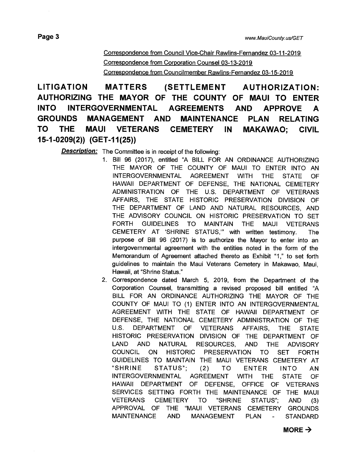Correspondence from Council Vice-Chair Rawlins-Fernandez 03-11-2019 Correspondence from Corporation Counsel 03-13-2019 Correspondence from Councilmember Rawlins-Fernandez 03-15-2019

**LITIGATION MATTERS (SETTLEMENT AUTHORIZATION: AUTHORIZING THE MAYOR OF THE COUNTY OF MAUI TO ENTER INTO INTERGOVERNMENTAL AGREEMENTS AND APPROVE A GROUNDS MANAGEMENT AND MAINTENANCE PLAN RELATING TO THE MAUI VETERANS CEMETERY IN MAKAWAO; CIVIL 15-1-0209(2)) (GET-11(25))** 

- 1. Bill 96 (2017), entitled "A BILL FOR AN ORDINANCE AUTHORIZING THE MAYOR OF THE COUNTY OF MAUI TO ENTER INTO AN INTERGOVERNMENTAL AGREEMENT WITH THE STATE OF HAWAII DEPARTMENT OF DEFENSE, THE NATIONAL CEMETERY ADMINISTRATION OF THE U.S. DEPARTMENT OF VETERANS AFFAIRS, THE STATE HISTORIC PRESERVATION DIVISION OF THE DEPARTMENT OF LAND AND NATURAL RESOURCES, AND THE ADVISORY COUNCIL ON HISTORIC PRESERVATION TO SET FORTH GUIDELINES TO MAINTAIN THE MAUI VETERANS CEMETERY AT 'SHRINE STATUS," with written testimony. The purpose of Bill 96 (2017) is to authorize the Mayor to enter into an intergovernmental agreement with the entities noted in the form of the Memorandum of Agreement attached thereto as Exhibit "1," to set forth guidelines to maintain the Maui Veterans Cemetery in Makawao, Maui, Hawaii, at "Shrine Status."
- 2. Correspondence dated March 5, 2019, from the Department of the Corporation Counsel, transmitting a revised proposed bill entitled "A BILL FOR AN ORDINANCE AUTHORIZING THE MAYOR OF THE COUNTY OF MAUI TO (1) ENTER INTO AN INTERGOVERNMENTAL AGREEMENT WITH THE STATE OF HAWAII DEPARTMENT OF DEFENSE, THE NATIONAL CEMETERY ADMINISTRATION OF THE U.S. DEPARTMENT OF VETERANS AFFAIRS, THE STATE HISTORIC PRESERVATION DIVISION OF THE DEPARTMENT OF LAND AND NATURAL RESOURCES, AND THE ADVISORY COUNCIL ON HISTORIC PRESERVATION TO SET FORTH GUIDELINES TO MAINTAIN THE MAUI VETERANS CEMETERY AT "SHRINE STATUS"; (2) TO ENTER INTO AN INTERGOVERNMENTAL AGREEMENT WITH THE STATE OF HAWAII DEPARTMENT OF DEFENSE, OFFICE OF VETERANS SERVICES SETTING FORTH THE MAINTENANCE OF THE MAUI VETERANS CEMETERY TO "SHRINE STATUS"; AND (3) APPROVAL OF THE "MAUI VETERANS CEMETERY GROUNDS MAINTENANCE AND MANAGEMENT PLAN - STANDARD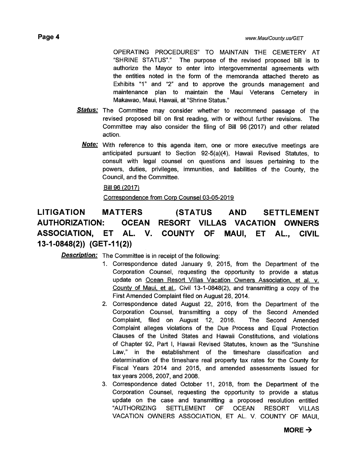OPERATING PROCEDURES" TO MAINTAIN THE CEMETERY AT "SHRINE STATUS"." The purpose of the revised proposed bill is to authorize the Mayor to enter into intergovernmental agreements with the entities noted in the form of the memoranda attached thereto as Exhibits "1" and "2" and to approve the grounds management and maintenance plan to maintain the Maui Veterans Cemetery in Makawao, Maui, Hawaii, at "Shrine Status."

- **Status:**  The Committee may consider whether to recommend passage of the revised proposed bill on first reading, with or without further revisions. The Committee may also consider the filing of Bill 96 (2017) and other related action.
	- **Note:**  With reference to this agenda item, one or more executive meetings are anticipated pursuant to Section 92-5(a)(4), Hawaii Revised Statutes, to consult with legal counsel on questions and issues pertaining to the powers, duties, privileges, immunities, and liabilities of the County, the Council, and the Committee.

Bill 96 (2017)

Correspondence from Corp Counsel 03-05-2019

### **LITIGATION MATTERS (STATUS AND SETTLEMENT AUTHORIZATION: OCEAN RESORT VILLAS VACATION OWNERS ASSOCIATION, ET AL. V. COUNTY OF MAUI, ET AL, CIVIL 13-1-0848(2)) (GET-11(2))**

- 1 Correspondence dated January 9, 2015, from the Department of the Corporation Counsel, requesting the opportunity to provide a status update on Ocean Resort Villas Vacation Owners Association, et al. v. County of Maui, et al., Civil 13-1-0848(2), and transmitting a copy of the First Amended Complaint filed on August 28, 2014.
- 2. Correspondence dated August 22, 2016, from the Department of the Corporation Counsel, transmitting a copy of the Second Amended Complaint, filed on August 12, 2016. The Second Amended Complaint alleges violations of the Due Process and Equal Protection Clauses of the United States and Hawaii Constitutions, and violations of Chapter 92, Part I, Hawaii Revised Statutes, known as the "Sunshine Law," in the establishment of the timeshare classification and determination of the timeshare real property tax rates for the County for Fiscal Years 2014 and 2015, and amended assessments issued for tax years 2006, 2007, and 2008.
- 3. Correspondence dated October 11, 2018, from the Department of the Corporation Counsel, requesting the opportunity to provide a status update on the case and transmitting a proposed resolution entitled "AUTHORIZING SETTLEMENT OF OCEAN RESORT VILLAS VACATION OWNERS ASSOCIATION, ET AL. V. COUNTY OF MAUI,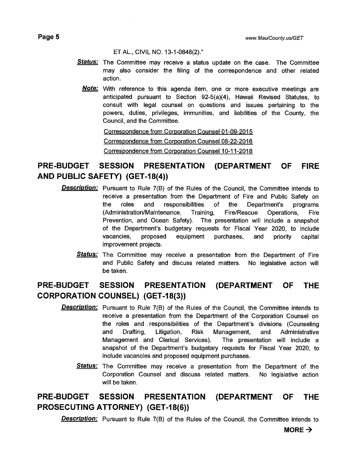**Page 5** *www.MauiCounty.us/GET* 

ET AL., CIVIL NO. 13-1-0848(2)."

- Status: The Committee may receive a status update on the case. The Committee may also consider the filing of the correspondence and other related action.
	- **Note:**  With reference to this agenda item, one or more executive meetings are anticipated pursuant to Section 92-5(a)(4), Hawaii Revised Statutes, to consult with legal counsel on questions and issues pertaining to the powers, duties, privileges, immunities, and liabilities of the County, the Council, and the Committee.

Correspondence from Corporation Counsel 01-09-2015 Correspondence from Corporation Counsel 08-22-2016 Correspondence from Corporation Counsel 10-11-2018

### **PRE-BUDGET SESSION PRESENTATION (DEPARTMENT OF FIRE AND PUBLIC SAFETY) (GET-18(4))**

- **Description:** Pursuant to Rule 7(B) of the Rules of the Council, the Committee intends to receive a presentation from the Department of Fire and Public Safety on the roles and responsibilities of the Department's programs (Administration/Maintenance, Training, Fire/Rescue Operations, Fire Prevention, and Ocean Safety). The presentation will include a snapshot of the Department's budgetary requests for Fiscal Year 2020, to include vacancies, proposed equipment purchases, and priority capital improvement projects.
	- **Status:** The Committee may receive a presentation from the Department of Fire and Public Safety and discuss related matters. No legislative action will be taken.

### **PRE-BUDGET SESSION PRESENTATION (DEPARTMENT OF THE CORPORATION COUNSEL) (GET-18(3))**

- **Description:**  Pursuant to Rule 7(B) of the Rules of the Council, the Committee intends to receive a presentation from the Department of the Corporation Counsel on the roles and responsibilities of the Department's divisions (Counseling and Drafting, Litigation, Risk Management, and Administrative Management and Clerical Services). The presentation will include a snapshot of the Department's budgetary requests for Fiscal Year 2020, to include vacancies and proposed equipment purchases.
	- **Status:**  The Committee may receive a presentation from the Department of the Corporation Counsel and discuss related matters. No legislative action will be taken.

### **PRE-BUDGET SESSION PRESENTATION (DEPARTMENT OF THE PROSECUTING ATTORNEY) (GET-18(6))**

**Description:** Pursuant to Rule 7(B) of the Rules of the Council, the Committee intends to